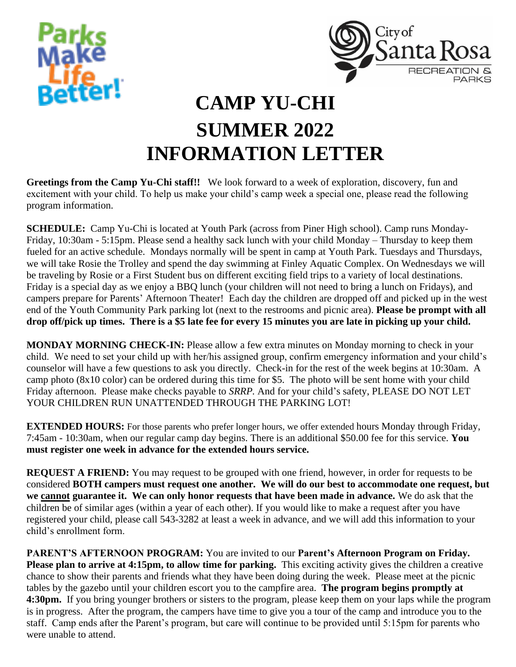



## **CAMP YU-CHI SUMMER 2022 INFORMATION LETTER**

**Greetings from the Camp Yu-Chi staff!!** We look forward to a week of exploration, discovery, fun and excitement with your child. To help us make your child's camp week a special one, please read the following program information.

**SCHEDULE:** Camp Yu-Chi is located at Youth Park (across from Piner High school). Camp runs Monday-Friday, 10:30am - 5:15pm. Please send a healthy sack lunch with your child Monday – Thursday to keep them fueled for an active schedule. Mondays normally will be spent in camp at Youth Park. Tuesdays and Thursdays, we will take Rosie the Trolley and spend the day swimming at Finley Aquatic Complex. On Wednesdays we will be traveling by Rosie or a First Student bus on different exciting field trips to a variety of local destinations. Friday is a special day as we enjoy a BBQ lunch (your children will not need to bring a lunch on Fridays), and campers prepare for Parents' Afternoon Theater! Each day the children are dropped off and picked up in the west end of the Youth Community Park parking lot (next to the restrooms and picnic area). **Please be prompt with all drop off/pick up times. There is a \$5 late fee for every 15 minutes you are late in picking up your child.**

**MONDAY MORNING CHECK-IN:** Please allow a few extra minutes on Monday morning to check in your child. We need to set your child up with her/his assigned group, confirm emergency information and your child's counselor will have a few questions to ask you directly. Check-in for the rest of the week begins at 10:30am. A camp photo (8x10 color) can be ordered during this time for \$5. The photo will be sent home with your child Friday afternoon. Please make checks payable to *SRRP.* And for your child's safety, PLEASE DO NOT LET YOUR CHILDREN RUN UNATTENDED THROUGH THE PARKING LOT!

**EXTENDED HOURS:** For those parents who prefer longer hours, we offer extended hours Monday through Friday, 7:45am - 10:30am, when our regular camp day begins. There is an additional \$50.00 fee for this service. **You must register one week in advance for the extended hours service.**

**REQUEST A FRIEND:** You may request to be grouped with one friend, however, in order for requests to be considered **BOTH campers must request one another. We will do our best to accommodate one request, but we cannot guarantee it. We can only honor requests that have been made in advance.** We do ask that the children be of similar ages (within a year of each other). If you would like to make a request after you have registered your child, please call 543-3282 at least a week in advance, and we will add this information to your child's enrollment form.

**PARENT'S AFTERNOON PROGRAM:** You are invited to our **Parent's Afternoon Program on Friday. Please plan to arrive at 4:15pm, to allow time for parking.** This exciting activity gives the children a creative chance to show their parents and friends what they have been doing during the week. Please meet at the picnic tables by the gazebo until your children escort you to the campfire area. **The program begins promptly at 4:30pm.** If you bring younger brothers or sisters to the program, please keep them on your laps while the program is in progress. After the program, the campers have time to give you a tour of the camp and introduce you to the staff. Camp ends after the Parent's program, but care will continue to be provided until 5:15pm for parents who were unable to attend.